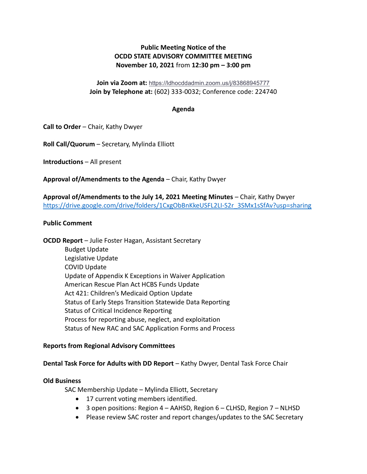# Public Meeting Notice of the OCDD STATE ADVISORY COMMITTEE MEETING November 10, 2021 from 12:30 pm – 3:00 pm

# Join via Zoom at: https://ldhocddadmin.zoom.us/j/83868945777 Join by Telephone at: (602) 333-0032; Conference code: 224740

## Agenda

Call to Order – Chair, Kathy Dwyer

Roll Call/Quorum – Secretary, Mylinda Elliott

Introductions – All present

Approval of/Amendments to the Agenda – Chair, Kathy Dwyer

Approval of/Amendments to the July 14, 2021 Meeting Minutes – Chair, Kathy Dwyer https://drive.google.com/drive/folders/1CxgObBnKkeUSFL2LI-S2r\_3SMx1sSfAv?usp=sharing

#### Public Comment

OCDD Report – Julie Foster Hagan, Assistant Secretary Budget Update Legislative Update COVID Update Update of Appendix K Exceptions in Waiver Application American Rescue Plan Act HCBS Funds Update Act 421: Children's Medicaid Option Update Status of Early Steps Transition Statewide Data Reporting Status of Critical Incidence Reporting Process for reporting abuse, neglect, and exploitation Status of New RAC and SAC Application Forms and Process

## Reports from Regional Advisory Committees

## Dental Task Force for Adults with DD Report – Kathy Dwyer, Dental Task Force Chair

## Old Business

SAC Membership Update – Mylinda Elliott, Secretary

- 17 current voting members identified.
- 3 open positions: Region 4 AAHSD, Region 6 CLHSD, Region 7 NLHSD
- Please review SAC roster and report changes/updates to the SAC Secretary